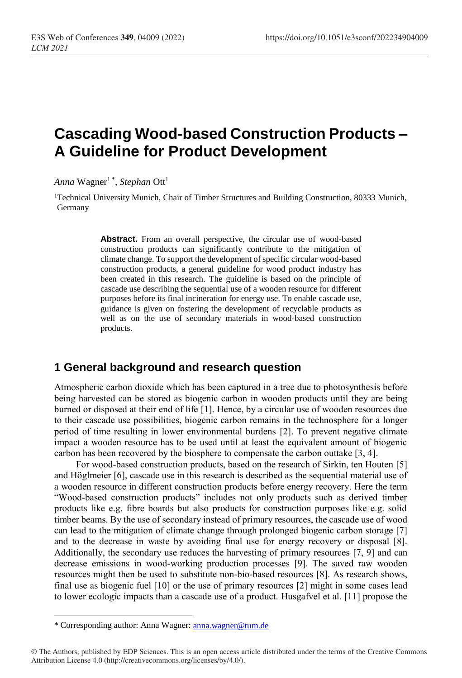# **Cascading Wood-based Construction Products – A Guideline for Product Development**

 $\emph{Anna } \emph{Wagner}^1$ ", *Stephan* Ott<sup>1</sup>

<sup>1</sup>Technical University Munich, Chair of Timber Structures and Building Construction, 80333 Munich, Germany

> Abstract. From an overall perspective, the circular use of wood-based construction products can significantly contribute to the mitigation of climate change. To support the development of specific circular wood-based construction products, a general guideline for wood product industry has been created in this research. The guideline is based on the principle of cascade use describing the sequential use of a wooden resource for different purposes before its final incineration for energy use. To enable cascade use, guidance is given on fostering the development of recyclable products as well as on the use of secondary materials in wood-based construction products.

# **1 General background and research question**

Atmospheric carbon dioxide which has been captured in a tree due to photosynthesis before being harvested can be stored as biogenic carbon in wooden products until they are being burned or disposed at their end of life [1]. Hence, by a circular use of wooden resources due to their cascade use possibilities, biogenic carbon remains in the technosphere for a longer period of time resulting in lower environmental burdens [2]. To prevent negative climate impact a wooden resource has to be used until at least the equivalent amount of biogenic carbon has been recovered by the biosphere to compensate the carbon outtake [3, 4].

For wood-based construction products, based on the research of Sirkin, ten Houten [5] and Höglmeier [6], cascade use in this research is described as the sequential material use of a wooden resource in different construction products before energy recovery. Here the term "Wood-based construction products" includes not only products such as derived timber products like e.g. fibre boards but also products for construction purposes like e.g. solid timber beams. By the use of secondary instead of primary resources, the cascade use of wood can lead to the mitigation of climate change through prolonged biogenic carbon storage [7] and to the decrease in waste by avoiding final use for energy recovery or disposal [8]. Additionally, the secondary use reduces the harvesting of primary resources [7, 9] and can decrease emissions in wood-working production processes [9]. The saved raw wooden resources might then be used to substitute non-bio-based resources [8]. As research shows, final use as biogenic fuel [10] or the use of primary resources [2] might in some cases lead to lower ecologic impacts than a cascade use of a product. Husgafvel et al. [11] propose the

 $\overline{\phantom{a}}$ 

<sup>\*</sup> Corresponding author: Anna Wagner: [anna.wagner@tum.d](mailto:anna.wagner@tum.)e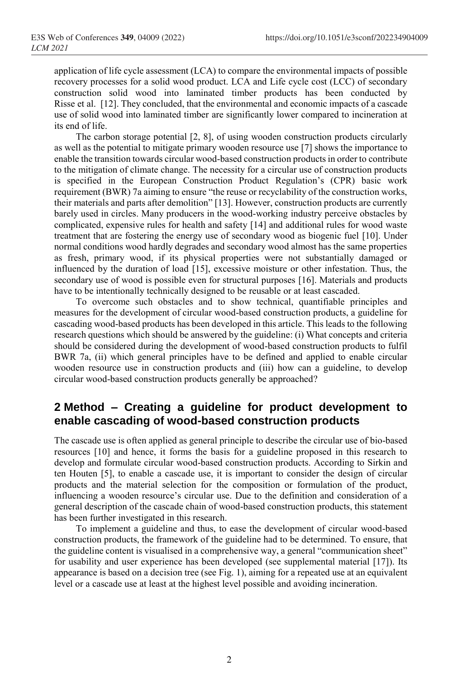application of life cycle assessment (LCA) to compare the environmental impacts of possible recovery processes for a solid wood product. LCA and Life cycle cost (LCC) of secondary construction solid wood into laminated timber products has been conducted by Risse et al. [12]. They concluded, that the environmental and economic impacts of a cascade use of solid wood into laminated timber are significantly lower compared to incineration at its end of life.

The carbon storage potential [2, 8], of using wooden construction products circularly as well as the potential to mitigate primary wooden resource use [7] shows the importance to enable the transition towards circular wood-based construction products in order to contribute to the mitigation of climate change. The necessity for a circular use of construction products is specified in the European Construction Product Regulation's (CPR) basic work requirement (BWR) 7a aiming to ensure "the reuse or recyclability of the construction works, their materials and parts after demolition" [13]. However, construction products are currently barely used in circles. Many producers in the wood-working industry perceive obstacles by complicated, expensive rules for health and safety [14] and additional rules for wood waste treatment that are fostering the energy use of secondary wood as biogenic fuel [10]. Under normal conditions wood hardly degrades and secondary wood almost has the same properties as fresh, primary wood, if its physical properties were not substantially damaged or influenced by the duration of load [15], excessive moisture or other infestation. Thus, the secondary use of wood is possible even for structural purposes [16]. Materials and products have to be intentionally technically designed to be reusable or at least cascaded.

To overcome such obstacles and to show technical, quantifiable principles and measures for the development of circular wood-based construction products, a guideline for cascading wood-based products has been developed in this article. This leads to the following research questions which should be answered by the guideline: (i) What concepts and criteria should be considered during the development of wood-based construction products to fulfil BWR 7a, (ii) which general principles have to be defined and applied to enable circular wooden resource use in construction products and (iii) how can a guideline, to develop circular wood-based construction products generally be approached?

# **2 Method – Creating a guideline for product development to enable cascading of wood-based construction products**

The cascade use is often applied as general principle to describe the circular use of bio-based resources [10] and hence, it forms the basis for a guideline proposed in this research to develop and formulate circular wood-based construction products. According to Sirkin and ten Houten [5], to enable a cascade use, it is important to consider the design of circular products and the material selection for the composition or formulation of the product, influencing a wooden resource's circular use. Due to the definition and consideration of a general description of the cascade chain of wood-based construction products, this statement has been further investigated in this research.

To implement a guideline and thus, to ease the development of circular wood-based construction products, the framework of the guideline had to be determined. To ensure, that the guideline content is visualised in a comprehensive way, a general "communication sheet" for usability and user experience has been developed (see supplemental material [17]). Its appearance is based on a decision tree (see [Fig. 1\)](#page-2-0), aiming for a repeated use at an equivalent level or a cascade use at least at the highest level possible and avoiding incineration.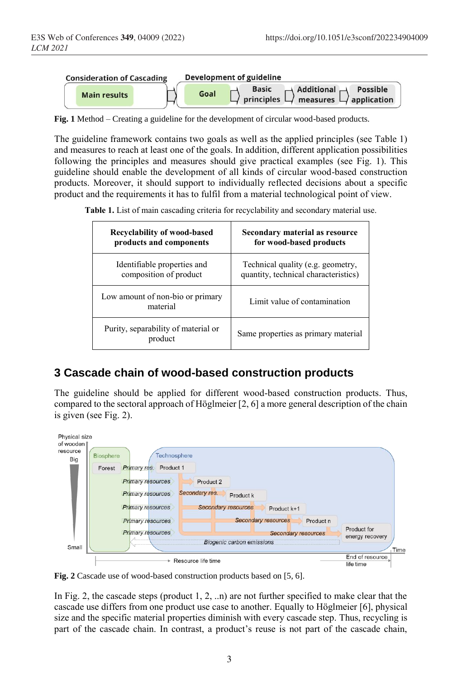

<span id="page-2-0"></span>**Fig. 1** Method – Creating a guideline for the development of circular wood-based products.

The guideline framework contains two goals as well as the applied principles (see Table 1) and measures to reach at least one of the goals. In addition, different application possibilities following the principles and measures should give practical examples (see [Fig. 1\)](#page-2-0). This guideline should enable the development of all kinds of circular wood-based construction products. Moreover, it should support to individually reflected decisions about a specific product and the requirements it has to fulfil from a material technological point of view.

**Table 1.** List of main cascading criteria for recyclability and secondary material use.

| <b>Recyclability of wood-based</b>             | Secondary material as resource       |
|------------------------------------------------|--------------------------------------|
| products and components                        | for wood-based products              |
| Identifiable properties and                    | Technical quality (e.g. geometry,    |
| composition of product                         | quantity, technical characteristics) |
| Low amount of non-bio or primary<br>material   | Limit value of contamination         |
| Purity, separability of material or<br>product | Same properties as primary material  |

## **3 Cascade chain of wood-based construction products**

The guideline should be applied for different wood-based construction products. Thus, compared to the sectoral approach of Höglmeier [2, 6] a more general description of the chain is given (see [Fig. 2\)](#page-2-1).



<span id="page-2-1"></span>**Fig. 2** Cascade use of wood-based construction products based on [5, 6].

In [Fig. 2,](#page-2-1) the cascade steps (product 1, 2, ..n) are not further specified to make clear that the cascade use differs from one product use case to another. Equally to Höglmeier [6], physical size and the specific material properties diminish with every cascade step. Thus, recycling is part of the cascade chain. In contrast, a product's reuse is not part of the cascade chain,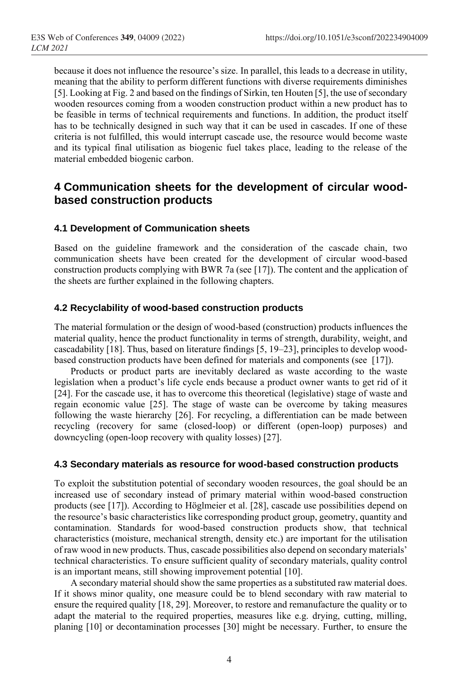because it does not influence the resource's size. In parallel, this leads to a decrease in utility, meaning that the ability to perform different functions with diverse requirements diminishes [5]. Looking at [Fig. 2](#page-2-1) and based on the findings of Sirkin, ten Houten [5], the use of secondary wooden resources coming from a wooden construction product within a new product has to be feasible in terms of technical requirements and functions. In addition, the product itself has to be technically designed in such way that it can be used in cascades. If one of these criteria is not fulfilled, this would interrupt cascade use, the resource would become waste and its typical final utilisation as biogenic fuel takes place, leading to the release of the material embedded biogenic carbon.

# **4 Communication sheets for the development of circular woodbased construction products**

### **4.1 Development of Communication sheets**

Based on the guideline framework and the consideration of the cascade chain, two communication sheets have been created for the development of circular wood-based construction products complying with BWR 7a (see [17]). The content and the application of the sheets are further explained in the following chapters.

### **4.2 Recyclability of wood-based construction products**

The material formulation or the design of wood-based (construction) products influences the material quality, hence the product functionality in terms of strength, durability, weight, and cascadability [18]. Thus, based on literature findings [5, 19–23], principles to develop woodbased construction products have been defined for materials and components (see [17]).

Products or product parts are inevitably declared as waste according to the waste legislation when a product's life cycle ends because a product owner wants to get rid of it [24]. For the cascade use, it has to overcome this theoretical (legislative) stage of waste and regain economic value [25]. The stage of waste can be overcome by taking measures following the waste hierarchy [26]. For recycling, a differentiation can be made between recycling (recovery for same (closed-loop) or different (open-loop) purposes) and downcycling (open-loop recovery with quality losses) [27].

### **4.3 Secondary materials as resource for wood-based construction products**

To exploit the substitution potential of secondary wooden resources, the goal should be an increased use of secondary instead of primary material within wood-based construction products (see [17]). According to Höglmeier et al. [28], cascade use possibilities depend on the resource's basic characteristics like corresponding product group, geometry, quantity and contamination. Standards for wood-based construction products show, that technical characteristics (moisture, mechanical strength, density etc.) are important for the utilisation of raw wood in new products. Thus, cascade possibilities also depend on secondary materials' technical characteristics. To ensure sufficient quality of secondary materials, quality control is an important means, still showing improvement potential [10].

A secondary material should show the same properties as a substituted raw material does. If it shows minor quality, one measure could be to blend secondary with raw material to ensure the required quality [18, 29]. Moreover, to restore and remanufacture the quality or to adapt the material to the required properties, measures like e.g. drying, cutting, milling, planing [10] or decontamination processes [30] might be necessary. Further, to ensure the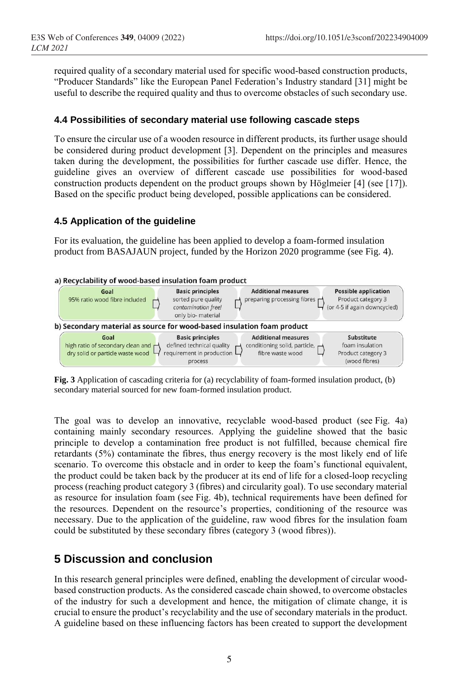required quality of a secondary material used for specific wood-based construction products, "Producer Standards" like the European Panel Federation's Industry standard [31] might be useful to describe the required quality and thus to overcome obstacles of such secondary use.

### **4.4 Possibilities of secondary material use following cascade steps**

To ensure the circular use of a wooden resource in different products, its further usage should be considered during product development [3]. Dependent on the principles and measures taken during the development, the possibilities for further cascade use differ. Hence, the guideline gives an overview of different cascade use possibilities for wood-based construction products dependent on the product groups shown by Höglmeier [4] (see [17]). Based on the specific product being developed, possible applications can be considered.

### **4.5 Application of the guideline**

For its evaluation, the guideline has been applied to develop a foam-formed insulation product from BASAJAUN project, funded by the Horizon 2020 programme (see [Fig. 4\)](#page-4-0).

#### a) Recyclability of wood-based insulation foam product



<span id="page-4-0"></span>**Fig. 3** Application of cascading criteria for (a) recyclability of foam-formed insulation product, (b) secondary material sourced for new foam-formed insulation product.

The goal was to develop an innovative, recyclable wood-based product (see [Fig. 4a](#page-4-0)) containing mainly secondary resources. Applying the guideline showed that the basic principle to develop a contamination free product is not fulfilled, because chemical fire retardants (5%) contaminate the fibres, thus energy recovery is the most likely end of life scenario. To overcome this obstacle and in order to keep the foam's functional equivalent, the product could be taken back by the producer at its end of life for a closed-loop recycling process (reaching product category 3 (fibres) and circularity goal). To use secondary material as resource for insulation foam (see [Fig. 4b](#page-4-0)), technical requirements have been defined for the resources. Dependent on the resource's properties, conditioning of the resource was necessary. Due to the application of the guideline, raw wood fibres for the insulation foam could be substituted by these secondary fibres (category 3 (wood fibres)).

# **5 Discussion and conclusion**

In this research general principles were defined, enabling the development of circular woodbased construction products. As the considered cascade chain showed, to overcome obstacles of the industry for such a development and hence, the mitigation of climate change, it is crucial to ensure the product's recyclability and the use of secondary materials in the product. A guideline based on these influencing factors has been created to support the development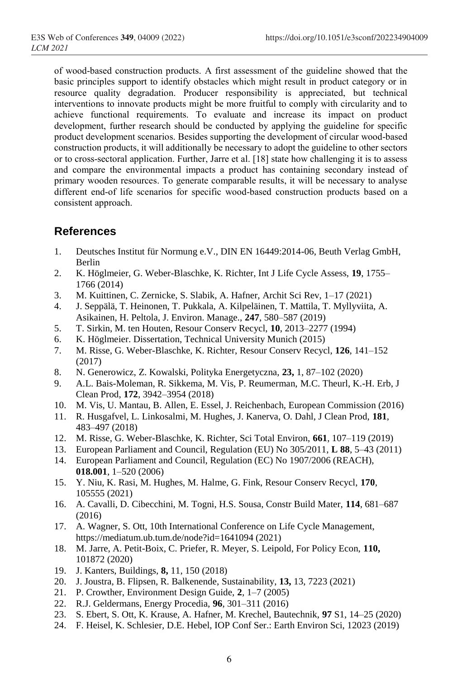of wood-based construction products. A first assessment of the guideline showed that the basic principles support to identify obstacles which might result in product category or in resource quality degradation. Producer responsibility is appreciated, but technical interventions to innovate products might be more fruitful to comply with circularity and to achieve functional requirements. To evaluate and increase its impact on product development, further research should be conducted by applying the guideline for specific product development scenarios. Besides supporting the development of circular wood-based construction products, it will additionally be necessary to adopt the guideline to other sectors or to cross-sectoral application. Further, Jarre et al. [18] state how challenging it is to assess and compare the environmental impacts a product has containing secondary instead of primary wooden resources. To generate comparable results, it will be necessary to analyse different end-of life scenarios for specific wood-based construction products based on a consistent approach.

# **References**

- 1. Deutsches Institut für Normung e.V., DIN EN 16449:2014-06, Beuth Verlag GmbH, Berlin
- 2. K. Höglmeier, G. Weber-Blaschke, K. Richter, Int J Life Cycle Assess, **19**, 1755– 1766 (2014)
- 3. M. Kuittinen, C. Zernicke, S. Slabik, A. Hafner, Archit Sci Rev, 1–17 (2021)
- 4. J. Seppälä, T. Heinonen, T. Pukkala, A. Kilpeläinen, T. Mattila, T. Myllyviita, A. Asikainen, H. Peltola, J. Environ. Manage., **247**, 580–587 (2019)
- 5. T. Sirkin, M. ten Houten, Resour Conserv Recycl, **10**, 2013–2277 (1994)
- 6. K. Höglmeier. Dissertation, Technical University Munich (2015)
- 7. M. Risse, G. Weber-Blaschke, K. Richter, Resour Conserv Recycl, **126**, 141–152 (2017)
- 8. N. Generowicz, Z. Kowalski, Polityka Energetyczna, **23,** 1, 87–102 (2020)
- 9. A.L. Bais-Moleman, R. Sikkema, M. Vis, P. Reumerman, M.C. Theurl, K.-H. Erb, J Clean Prod, **172**, 3942–3954 (2018)
- 10. M. Vis, U. Mantau, B. Allen, E. Essel, J. Reichenbach, European Commission (2016)
- 11. R. Husgafvel, L. Linkosalmi, M. Hughes, J. Kanerva, O. Dahl, J Clean Prod, **181**, 483–497 (2018)
- 12. M. Risse, G. Weber-Blaschke, K. Richter, Sci Total Environ, **661**, 107–119 (2019)
- 13. European Parliament and Council, Regulation (EU) No 305/2011, **L 88**, 5–43 (2011)
- 14. European Parliament and Council, Regulation (EC) No 1907/2006 (REACH), **018.001**, 1–520 (2006)
- 15. Y. Niu, K. Rasi, M. Hughes, M. Halme, G. Fink, Resour Conserv Recycl, **170**, 105555 (2021)
- 16. A. Cavalli, D. Cibecchini, M. Togni, H.S. Sousa, Constr Build Mater, **114**, 681–687 (2016)
- 17. A. Wagner, S. Ott, 10th International Conference on Life Cycle Management, https://mediatum.ub.tum.de/node?id=1641094 (2021)
- 18. M. Jarre, A. Petit-Boix, C. Priefer, R. Meyer, S. Leipold, For Policy Econ, **110,**  101872 (2020)
- 19. J. Kanters, Buildings, **8,** 11, 150 (2018)
- 20. J. Joustra, B. Flipsen, R. Balkenende, Sustainability, **13,** 13, 7223 (2021)
- 21. P. Crowther, Environment Design Guide, **2**, 1–7 (2005)
- 22. R.J. Geldermans, Energy Procedia, **96**, 301–311 (2016)
- 23. S. Ebert, S. Ott, K. Krause, A. Hafner, M. Krechel, Bautechnik, **97** S1, 14–25 (2020)
- 24. F. Heisel, K. Schlesier, D.E. Hebel, IOP Conf Ser.: Earth Environ Sci, 12023 (2019)